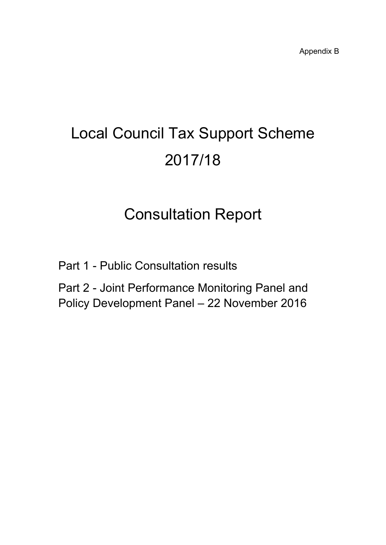# Local Council Tax Support Scheme 2017/18

## Consultation Report

Part 1 - Public Consultation results

Part 2 - Joint Performance Monitoring Panel and Policy Development Panel – 22 November 2016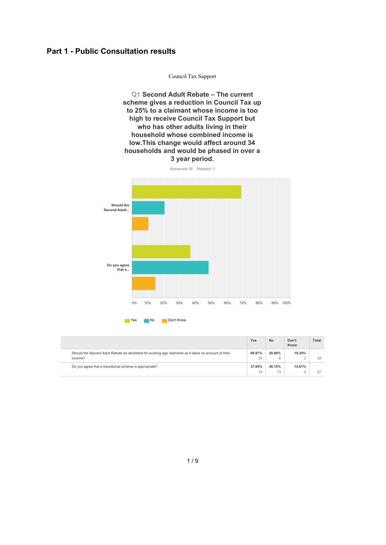#### **Part 1 - Public Consultation results**

**Q1 Second Adult Rebate – The current scheme gives a reduction in Council Tax up to 25% to a claimant whose income is too high to receive Council Tax Support but who has otheradults living in their household whose combined income is low.This change would affect around 34 households and would be phased in over a 3 year period.**

Council Tax Support





|                                                                                                                  | Yes          | <b>No</b>    | Don't<br>Know | <b>Total</b> |
|------------------------------------------------------------------------------------------------------------------|--------------|--------------|---------------|--------------|
| Should the Second Adult Rebate be abolished for working age claimants as it takes no account of their<br>income? | 68.97%<br>20 | 20.69%<br>6  | 10.34%        | 29           |
| Do you agree that a transitional scheme is appropriate?                                                          | 37.04%<br>10 | 48.15%<br>13 | 14.81%        | 27           |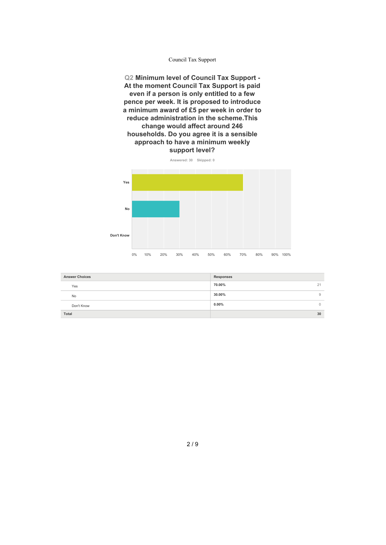**Q2 Minimum level of Council Tax Support - At the moment Council Tax Support is paid even if a person is only entitled to afew pence per week. It is proposed to introduce a minimum award of £5 per week in order to reduce administration in the scheme.This change would affect around 246 households. Do you agree it is a sensible approach to have a minimum weekly support level?**





| <b>Answer Choices</b> | Responses    |
|-----------------------|--------------|
| Yes                   | 70.00%<br>21 |
| No                    | 30.00%       |
| Don't Know            | $0.00\%$     |
| Total                 | 30           |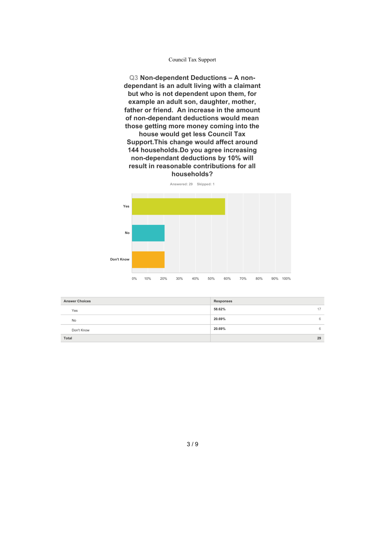**Q3 Non-dependent Deductions – A non dependant is an adult living with a claimant but who is not dependent upon them, for example an adult son, daughter, mother, father or friend. An increase in the amount of non-dependant deductions would mean those getting more money coming into the**

**house would get less Council Tax Support.This change would affect around 144 households.Do you agree increasing non-dependant deductions by 10% will result in reasonable contributions for all households?**



| <b>Answer Choices</b> | Responses    |
|-----------------------|--------------|
| Yes                   | 58.62%<br>17 |
| <b>No</b>             | 20.69%       |
| Don't Know            | 20.69%       |
| Total                 | 29           |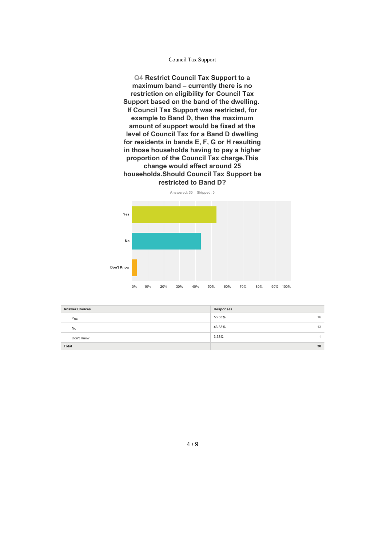**Q4 Restrict Council Tax Support to a maximum band – currently there is no restriction on eligibility for Council Tax Support based on the band of the dwelling. If Council Tax Support was restricted, for example to Band D, then the maximum amount of support would be fixed at the level of Council Tax for a Band D dwelling for residents in bands E, F, G or H resulting in those households having to pay a higher proportion of the Council Tax charge.This change would affect around 25 households.Should Council Tax Support be restricted to Band D?**

#### **Answered: 30 Skipped: 0**



| <b>Answer Choices</b> | Responses    |
|-----------------------|--------------|
| Yes                   | 53.33%<br>16 |
| <b>No</b>             | 43.33%<br>13 |
| Don't Know            | 3.33%        |
| Total                 | 30           |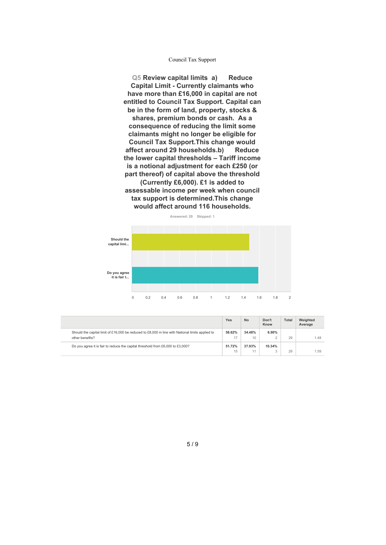**Q5 Review capital limits a) Reduce Capital Limit - Currently claimants who have more than £16,000 in capitalare not entitled to Council Tax Support. Capital can be in the form ofland, property, stocks & shares, premium bonds or cash. As a consequence of reducing the limit some claimants might no longer be eligible for Council Tax Support.This change would affect around 29 households.b) Reduce the lower capital thresholds – Tariff income is a notional adjustment for each £250 (or part thereof) of capital above the threshold (Currently £6,000). £1 is added to assessable income per week when council tax support is determined.This change would affect around 116 households.**



|                                                                                                                     | Yes          | <b>No</b>    | Don't<br>Know | <b>Total</b> | Weighted<br>Average |
|---------------------------------------------------------------------------------------------------------------------|--------------|--------------|---------------|--------------|---------------------|
| Should the capital limit of £16,000 be reduced to £8,000 in line with National limits applied to<br>other benefits? | 58.62%<br>17 | 34.48%<br>10 | 6.90%         | 29           | 1.48                |
| Do you agree it is fair to reduce the capital threshold from £6,000 to £3,000?                                      | 51.72%<br>15 | 37.93%<br>11 | 10.34%        | 29           | 1.59                |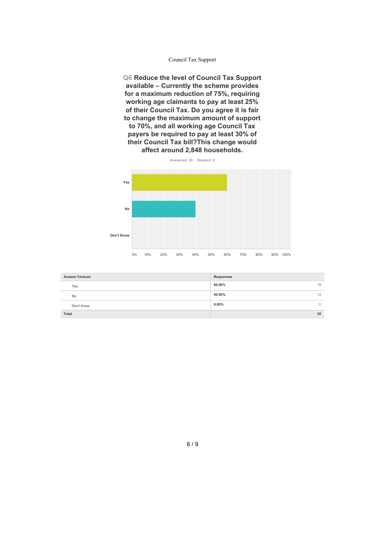**Q6 Reduce the level of Council Tax Support available – Currently the scheme provides for a maximum reduction of 75%, requiring working age claimants to pay at least25% of their Council Tax. Do you agree it is fair to change the maximum amount of support to 70%, and all working age Council Tax payers be required to pay at least 30% of their Council Tax bill?This change would affect around 2,848 households.**

**Answered: 30 Skipped: 0 Yes No Don't Know**

0% 10% 20% 30% 40% 50% 60% 70% 80% 90% 100%

| <b>Answer Choices</b> | Responses           |
|-----------------------|---------------------|
| Yes                   | 60.00%<br>18        |
| <b>No</b>             | 40.00%<br>12        |
| Don't Know            | $0.00\%$<br>$\circ$ |
| Total                 | 30                  |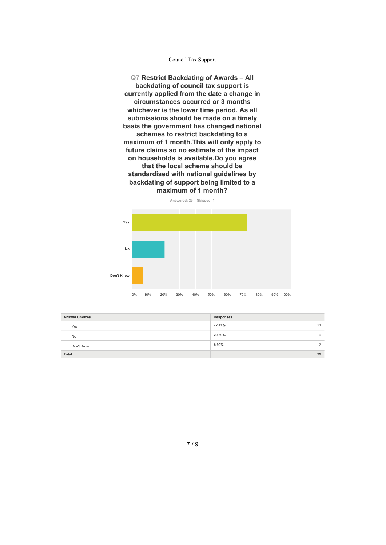**Q7 Restrict Backdating of Awards – All backdating of council tax support is currently applied from the date a change in circumstances occurred or 3 months whichever is the lower time period. As all submissions should be made on a timely basis the government has changed national schemes to restrict backdating to a maximum of 1 month.This will only apply to future claims so no estimate of the impact on households is available.Do you agree that the local scheme should be standardised with national guidelines by backdating of support being limited to a maximum of 1 month?**

**Answered: 29 Skipped: 1 Yes No Don't Know** 0% 10% 20% 30% 40% 50% 60% 70% 80% 90% 100%

| <b>Answer Choices</b> | Responses    |
|-----------------------|--------------|
| Yes                   | 72.41%<br>21 |
| <b>No</b>             | 20.69%<br>6  |
| Don't Know            | 6.90%        |
| Total                 | 29           |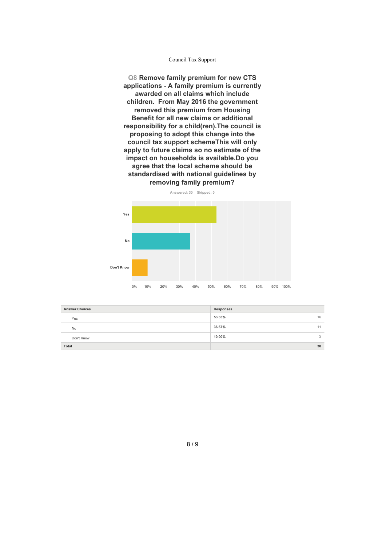**Q8 Remove family premium for new CTS applications - A family premium is currently awarded on all claims which include children. From May 2016 the government removed this premium from Housing Benefit for all new claims or additional responsibility for a child(ren).The council is proposing to adopt this change into the council tax support schemeThis will only apply to future claims so no estimate of the impact on households is available.Do you agree that the local scheme should be standardised with national guidelines by removing family premium?**





| <b>Answer Choices</b> | Responses    |
|-----------------------|--------------|
| Yes                   | 53.33%<br>16 |
| <b>No</b>             | 36.67%<br>11 |
| Don't Know            | 10.00%       |
| Total                 | 30           |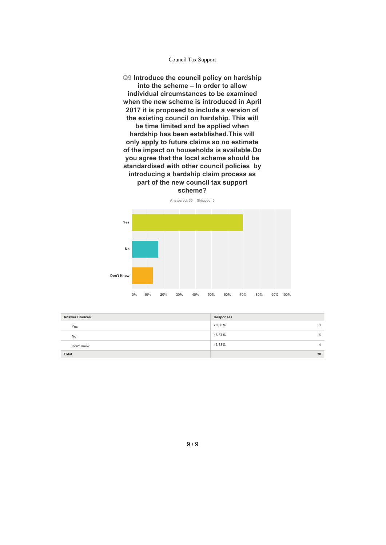**Q9 Introduce the council policy on hardship into the scheme – In order to allow individual circumstances to be examined when the new scheme is introduced in April 2017 it is proposed to include a version of the existing council on hardship. This will be time limited and be applied when hardship has been established.This will only apply to future claims so no estimate of the impact on households is available.Do you agree that the local scheme should be standardised with other council policies by introducing ahardship claim process as part of the new council tax support scheme?**



| <b>Answer Choices</b> | Responses    |
|-----------------------|--------------|
| Yes                   | 70.00%<br>21 |
| <b>No</b>             | 16.67%       |
| Don't Know            | 13.33%<br>⊣  |
| Total                 | 30           |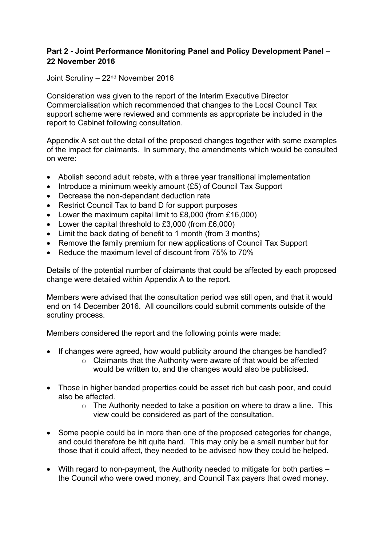#### **Part 2 - Joint Performance Monitoring Panel and Policy Development Panel – 22 November 2016**

Joint Scrutiny – 22nd November 2016

Consideration was given to the report of the Interim Executive Director Commercialisation which recommended that changes to the Local Council Tax support scheme were reviewed and comments as appropriate be included in the report to Cabinet following consultation.

Appendix A set out the detail of the proposed changes together with some examples of the impact for claimants. In summary, the amendments which would be consulted on were:

- Abolish second adult rebate, with a three year transitional implementation
- Introduce a minimum weekly amount (£5) of Council Tax Support
- Decrease the non-dependant deduction rate
- Restrict Council Tax to band D for support purposes
- Lower the maximum capital limit to £8,000 (from £16,000)
- Lower the capital threshold to £3,000 (from £6,000)
- Limit the back dating of benefit to 1 month (from 3 months)
- Remove the family premium for new applications of Council Tax Support
- Reduce the maximum level of discount from 75% to 70%

Details of the potential number of claimants that could be affected by each proposed change were detailed within Appendix A to the report.

Members were advised that the consultation period was still open, and that it would end on 14 December 2016. All councillors could submit comments outside of the scrutiny process.

Members considered the report and the following points were made:

- If changes were agreed, how would publicity around the changes be handled?
	- $\circ$  Claimants that the Authority were aware of that would be affected would be written to, and the changes would also be publicised.
- Those in higher banded properties could be asset rich but cash poor, and could also be affected.
	- o The Authority needed to take a position on where to draw a line. This view could be considered as part of the consultation.
- Some people could be in more than one of the proposed categories for change, and could therefore be hit quite hard. This may only be a small number but for those that it could affect, they needed to be advised how they could be helped.
- With regard to non-payment, the Authority needed to mitigate for both parties the Council who were owed money, and Council Tax payers that owed money.